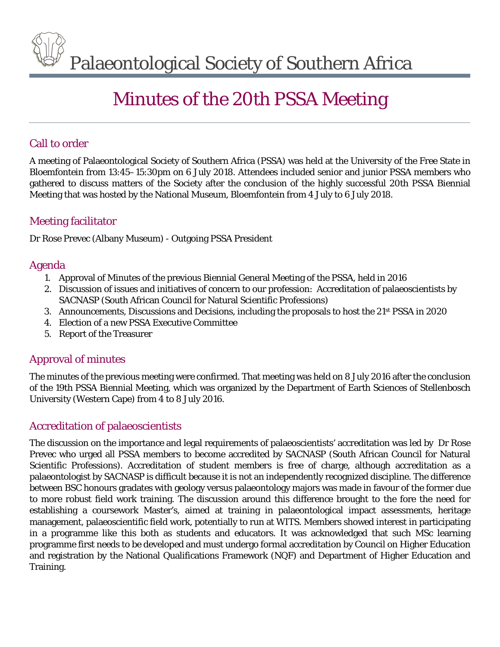Palaeontological Society of Southern Africa

# Minutes of the 20th PSSA Meeting

## Call to order

A meeting of Palaeontological Society of Southern Africa (PSSA) was held at the University of the Free State in Bloemfontein from 13:45–15:30pm on 6 July 2018. Attendees included senior and junior PSSA members who gathered to discuss matters of the Society after the conclusion of the highly successful 20th PSSA Biennial Meeting that was hosted by the National Museum, Bloemfontein from 4 July to 6 July 2018.

## Meeting facilitator

Dr Rose Prevec (Albany Museum) - Outgoing PSSA President

## Agenda

- 1. Approval of Minutes of the previous Biennial General Meeting of the PSSA, held in 2016
- 2. Discussion of issues and initiatives of concern to our profession: Accreditation of palaeoscientists by SACNASP (South African Council for Natural Scientific Professions)
- 3. Announcements, Discussions and Decisions, including the proposals to host the 21st PSSA in 2020
- 4. Election of a new PSSA Executive Committee
- 5. Report of the Treasurer

## Approval of minutes

The minutes of the previous meeting were confirmed. That meeting was held on 8 July 2016 after the conclusion of the 19th PSSA Biennial Meeting, which was organized by the Department of Earth Sciences of Stellenbosch University (Western Cape) from 4 to 8 July 2016.

## Accreditation of palaeoscientists

The discussion on the importance and legal requirements of palaeoscientists' accreditation was led by Dr Rose Prevec who urged all PSSA members to become accredited by SACNASP (South African Council for Natural Scientific Professions). Accreditation of student members is free of charge, although accreditation as a palaeontologist by SACNASP is difficult because it is not an independently recognized discipline. The difference between BSC honours gradates with geology versus palaeontology majors was made in favour of the former due to more robust field work training. The discussion around this difference brought to the fore the need for establishing a coursework Master's, aimed at training in palaeontological impact assessments, heritage management, palaeoscientific field work, potentially to run at WITS. Members showed interest in participating in a programme like this both as students and educators. It was acknowledged that such MSc learning programme first needs to be developed and must undergo formal accreditation by Council on Higher Education and registration by the National Qualifications Framework (NQF) and Department of Higher Education and Training.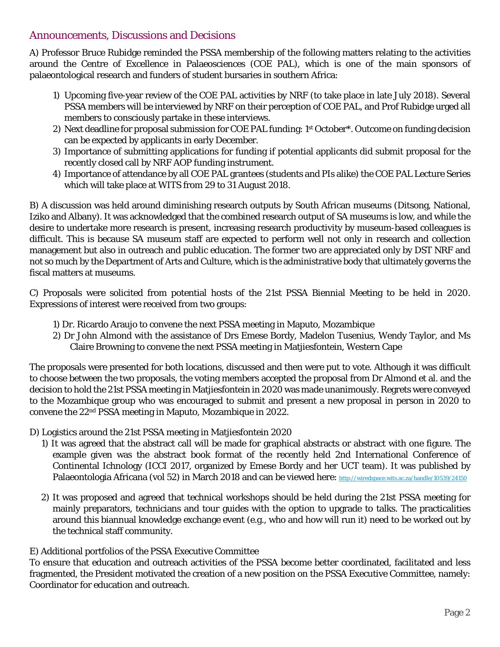#### Announcements, Discussions and Decisions

A) Professor Bruce Rubidge reminded the PSSA membership of the following matters relating to the activities around the Centre of Excellence in Palaeosciences (COE PAL), which is one of the main sponsors of palaeontological research and funders of student bursaries in southern Africa:

- 1) Upcoming five-year review of the COE PAL activities by NRF (to take place in late July 2018). Several PSSA members will be interviewed by NRF on their perception of COE PAL, and Prof Rubidge urged all members to consciously partake in these interviews.
- 2) Next deadline for proposal submission for COE PAL funding: 1st October\*. Outcome on funding decision can be expected by applicants in early December.
- 3) Importance of submitting applications for funding if potential applicants did submit proposal for the recently closed call by NRF AOP funding instrument.
- 4) Importance of attendance by all COE PAL grantees (students and PIs alike) the COE PAL Lecture Series which will take place at WITS from 29 to 31 August 2018.

B) A discussion was held around diminishing research outputs by South African museums (Ditsong, National, Iziko and Albany). It was acknowledged that the combined research output of SA museums is low, and while the desire to undertake more research is present, increasing research productivity by museum-based colleagues is difficult. This is because SA museum staff are expected to perform well not only in research and collection management but also in outreach and public education. The former two are appreciated only by DST NRF and not so much by the Department of Arts and Culture, which is the administrative body that ultimately governs the fiscal matters at museums.

C) Proposals were solicited from potential hosts of the 21st PSSA Biennial Meeting to be held in 2020. Expressions of interest were received from two groups:

- 1) Dr. Ricardo Araujo to convene the next PSSA meeting in Maputo, Mozambique
- 2) Dr John Almond with the assistance of Drs Emese Bordy, Madelon Tusenius, Wendy Taylor, and Ms Claire Browning to convene the next PSSA meeting in Matjiesfontein, Western Cape

The proposals were presented for both locations, discussed and then were put to vote. Although it was difficult to choose between the two proposals, the voting members accepted the proposal from Dr Almond et al. and the decision to hold the 21st PSSA meeting in Matjiesfontein in 2020 was made unanimously. Regrets were conveyed to the Mozambique group who was encouraged to submit and present a new proposal in person in 2020 to convene the 22nd PSSA meeting in Maputo, Mozambique in 2022.

D) Logistics around the 21st PSSA meeting in Matjiesfontein 2020

- 1) It was agreed that the abstract call will be made for graphical abstracts or abstract with one figure. The example given was the abstract book format of the recently held 2nd International Conference of Continental Ichnology (ICCI 2017, organized by Emese Bordy and her UCT team). It was published by Palaeontologia Africana (vol 52) in March 2018 and can be viewed here:<http://wiredspace.wits.ac.za/handle/10539/24150>
- 2) It was proposed and agreed that technical workshops should be held during the 21st PSSA meeting for mainly preparators, technicians and tour guides with the option to upgrade to talks. The practicalities around this biannual knowledge exchange event (e.g., who and how will run it) need to be worked out by the technical staff community.
- E) Additional portfolios of the PSSA Executive Committee

To ensure that education and outreach activities of the PSSA become better coordinated, facilitated and less fragmented, the President motivated the creation of a new position on the PSSA Executive Committee, namely: Coordinator for education and outreach.